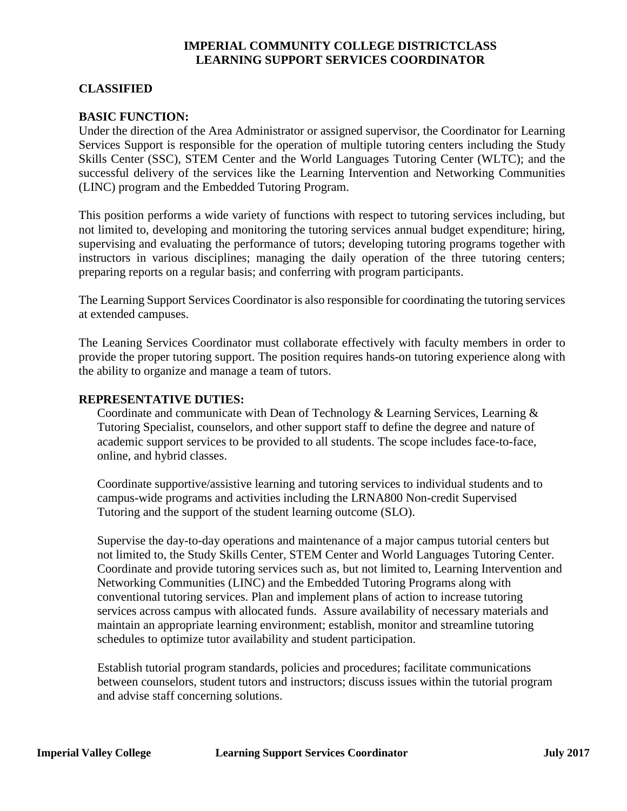## **IMPERIAL COMMUNITY COLLEGE DISTRICTCLASS LEARNING SUPPORT SERVICES COORDINATOR**

### **CLASSIFIED**

#### **BASIC FUNCTION:**

Under the direction of the Area Administrator or assigned supervisor, the Coordinator for Learning Services Support is responsible for the operation of multiple tutoring centers including the Study Skills Center (SSC), STEM Center and the World Languages Tutoring Center (WLTC); and the successful delivery of the services like the Learning Intervention and Networking Communities (LINC) program and the Embedded Tutoring Program.

This position performs a wide variety of functions with respect to tutoring services including, but not limited to, developing and monitoring the tutoring services annual budget expenditure; hiring, supervising and evaluating the performance of tutors; developing tutoring programs together with instructors in various disciplines; managing the daily operation of the three tutoring centers; preparing reports on a regular basis; and conferring with program participants.

The Learning Support Services Coordinator is also responsible for coordinating the tutoring services at extended campuses.

The Leaning Services Coordinator must collaborate effectively with faculty members in order to provide the proper tutoring support. The position requires hands-on tutoring experience along with the ability to organize and manage a team of tutors.

#### **REPRESENTATIVE DUTIES:**

Coordinate and communicate with Dean of Technology & Learning Services, Learning & Tutoring Specialist, counselors, and other support staff to define the degree and nature of academic support services to be provided to all students. The scope includes face-to-face, online, and hybrid classes.

Coordinate supportive/assistive learning and tutoring services to individual students and to campus-wide programs and activities including the LRNA800 Non-credit Supervised Tutoring and the support of the student learning outcome (SLO).

Supervise the day-to-day operations and maintenance of a major campus tutorial centers but not limited to, the Study Skills Center, STEM Center and World Languages Tutoring Center. Coordinate and provide tutoring services such as, but not limited to, Learning Intervention and Networking Communities (LINC) and the Embedded Tutoring Programs along with conventional tutoring services. Plan and implement plans of action to increase tutoring services across campus with allocated funds. Assure availability of necessary materials and maintain an appropriate learning environment; establish, monitor and streamline tutoring schedules to optimize tutor availability and student participation.

Establish tutorial program standards, policies and procedures; facilitate communications between counselors, student tutors and instructors; discuss issues within the tutorial program and advise staff concerning solutions.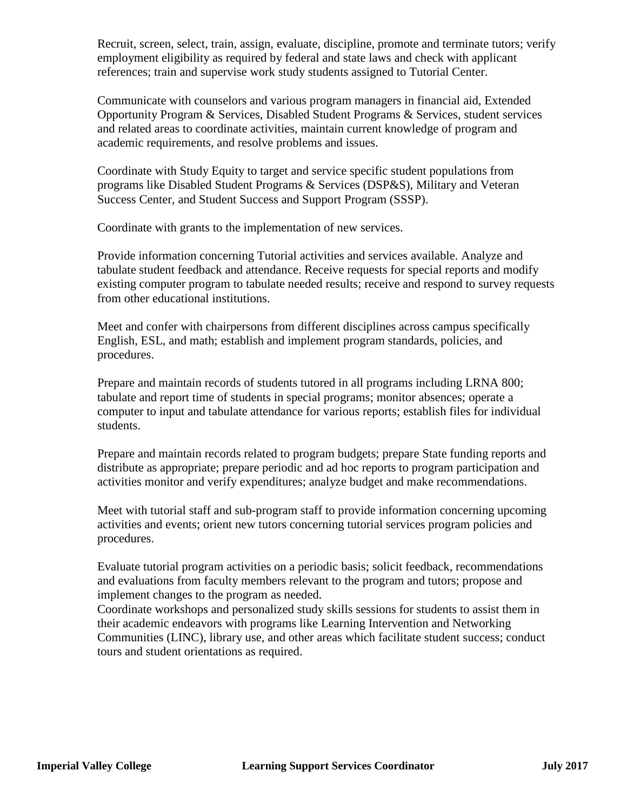Recruit, screen, select, train, assign, evaluate, discipline, promote and terminate tutors; verify employment eligibility as required by federal and state laws and check with applicant references; train and supervise work study students assigned to Tutorial Center.

Communicate with counselors and various program managers in financial aid, Extended Opportunity Program & Services, Disabled Student Programs & Services, student services and related areas to coordinate activities, maintain current knowledge of program and academic requirements, and resolve problems and issues.

Coordinate with Study Equity to target and service specific student populations from programs like Disabled Student Programs & Services (DSP&S), Military and Veteran Success Center, and Student Success and Support Program (SSSP).

Coordinate with grants to the implementation of new services.

Provide information concerning Tutorial activities and services available. Analyze and tabulate student feedback and attendance. Receive requests for special reports and modify existing computer program to tabulate needed results; receive and respond to survey requests from other educational institutions.

Meet and confer with chairpersons from different disciplines across campus specifically English, ESL, and math; establish and implement program standards, policies, and procedures.

Prepare and maintain records of students tutored in all programs including LRNA 800; tabulate and report time of students in special programs; monitor absences; operate a computer to input and tabulate attendance for various reports; establish files for individual students.

Prepare and maintain records related to program budgets; prepare State funding reports and distribute as appropriate; prepare periodic and ad hoc reports to program participation and activities monitor and verify expenditures; analyze budget and make recommendations.

Meet with tutorial staff and sub-program staff to provide information concerning upcoming activities and events; orient new tutors concerning tutorial services program policies and procedures.

Evaluate tutorial program activities on a periodic basis; solicit feedback, recommendations and evaluations from faculty members relevant to the program and tutors; propose and implement changes to the program as needed.

Coordinate workshops and personalized study skills sessions for students to assist them in their academic endeavors with programs like Learning Intervention and Networking Communities (LINC), library use, and other areas which facilitate student success; conduct tours and student orientations as required.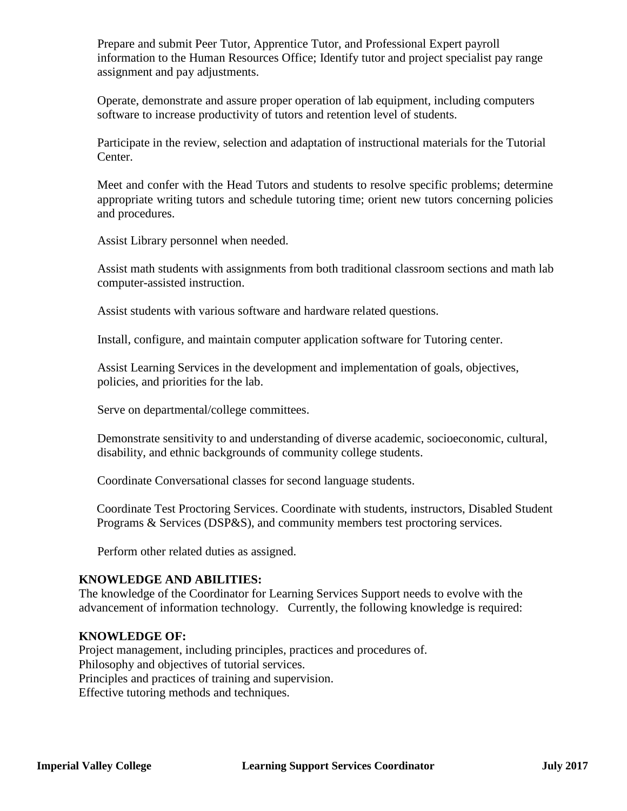Prepare and submit Peer Tutor, Apprentice Tutor, and Professional Expert payroll information to the Human Resources Office; Identify tutor and project specialist pay range assignment and pay adjustments.

Operate, demonstrate and assure proper operation of lab equipment, including computers software to increase productivity of tutors and retention level of students.

Participate in the review, selection and adaptation of instructional materials for the Tutorial Center.

Meet and confer with the Head Tutors and students to resolve specific problems; determine appropriate writing tutors and schedule tutoring time; orient new tutors concerning policies and procedures.

Assist Library personnel when needed.

Assist math students with assignments from both traditional classroom sections and math lab computer-assisted instruction.

Assist students with various software and hardware related questions.

Install, configure, and maintain computer application software for Tutoring center.

Assist Learning Services in the development and implementation of goals, objectives, policies, and priorities for the lab.

Serve on departmental/college committees.

Demonstrate sensitivity to and understanding of diverse academic, socioeconomic, cultural, disability, and ethnic backgrounds of community college students.

Coordinate Conversational classes for second language students.

Coordinate Test Proctoring Services. Coordinate with students, instructors, Disabled Student Programs & Services (DSP&S), and community members test proctoring services.

Perform other related duties as assigned.

## **KNOWLEDGE AND ABILITIES:**

The knowledge of the Coordinator for Learning Services Support needs to evolve with the advancement of information technology. Currently, the following knowledge is required:

## **KNOWLEDGE OF:**

Project management, including principles, practices and procedures of. Philosophy and objectives of tutorial services. Principles and practices of training and supervision. Effective tutoring methods and techniques.